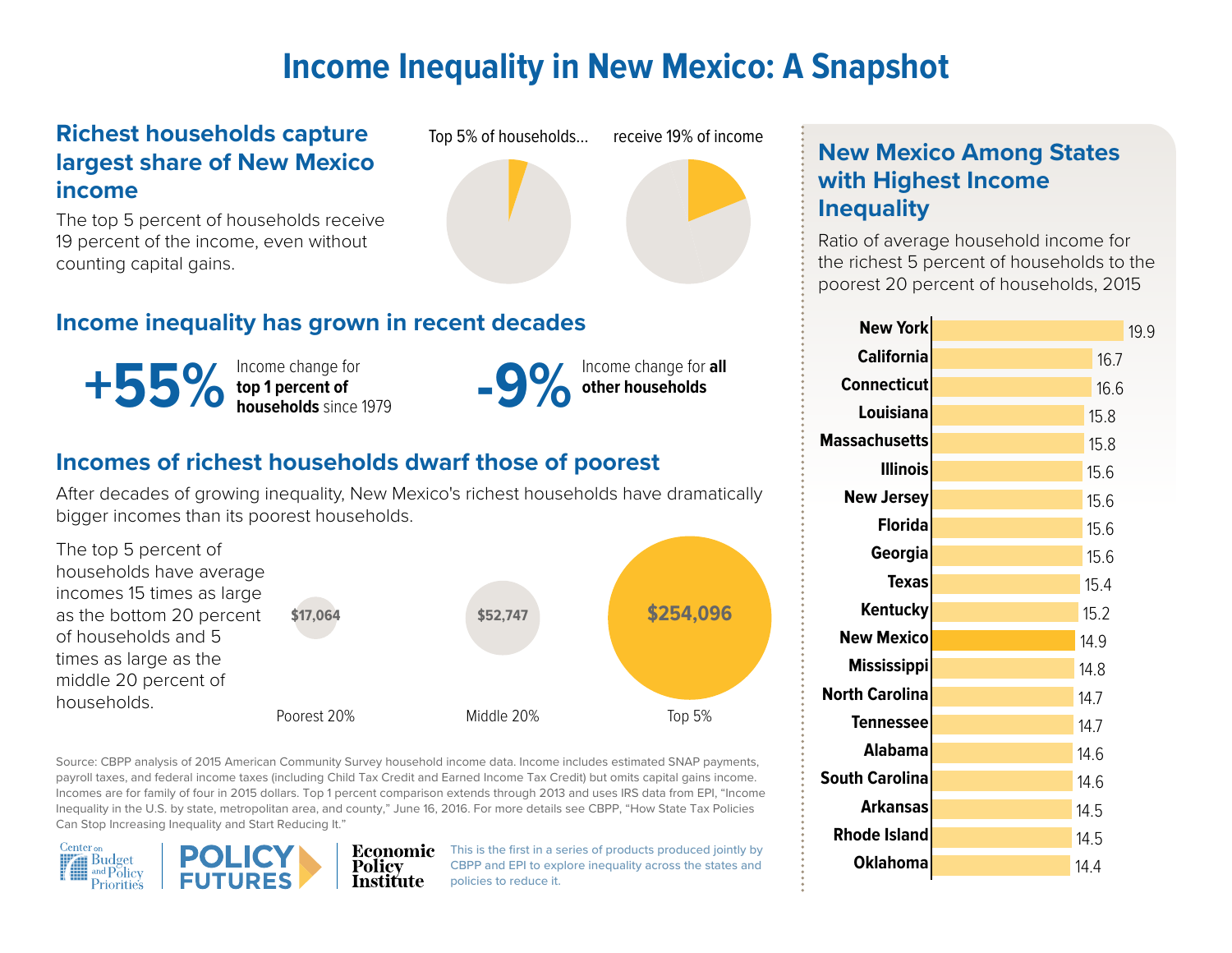# **Income Inequality in New Mexico: A Snapshot**

### **Richest households capture largest share of New Mexico income**

The top 5 percent of households receive 19 percent of the income, even without counting capital gains.





## **Income inequality has grown in recent decades**

Income change for **top 1 percent of**   $+55\%$  top 1 percent of households since 1979<br> **-9%** ther households<br> **-9%** ther households<br> **-9%** ther households



## **Incomes of richest households dwarf those of poorest**

After decades of growing inequality, New Mexico's richest households have dramatically bigger incomes than its poorest households.



Source: CBPP analysis of 2015 American Community Survey household income data. Income includes estimated SNAP payments, payroll taxes, and federal income taxes (including Child Tax Credit and Earned Income Tax Credit) but omits capital gains income. Incomes are for family of four in 2015 dollars. Top 1 percent comparison extends through 2013 and uses IRS data from EPI, "Income Inequality in the U.S. by state, metropolitan area, and county," June 16, 2016. For more details see CBPP, "How State Tax Policies Can Stop Increasing Inequality and Start Reducing It."



 $\bf{Economic}$  This is the first in a series of products produced jointly by CBPP and EPI to explore inequality across the states and policies to reduce it.

## **New Mexico Among States with Highest Income Inequality**

Ratio of average household income for the richest 5 percent of households to the poorest 20 percent of households, 2015

| <b>New York</b>       | 19.9 |
|-----------------------|------|
| <b>California</b>     | 16.7 |
| <b>Connecticut</b>    | 16.6 |
| Louisiana             | 15.8 |
| <b>Massachusetts</b>  | 15.8 |
| <b>Illinois</b>       | 15.6 |
| <b>New Jersey</b>     | 15.6 |
| <b>Florida</b>        | 15.6 |
| Georgia               | 15.6 |
| Texas                 | 15.4 |
| Kentucky              | 15.2 |
| <b>New Mexico</b>     | 14.9 |
| <b>Mississippi</b>    | 14.8 |
| <b>North Carolina</b> | 14.7 |
| Tennessee             | 14.7 |
| <b>Alabama</b>        | 14.6 |
| <b>South Carolina</b> | 14.6 |
| Arkansas              | 14.5 |
| <b>Rhode Island</b>   | 14.5 |
| Oklahoma              | 14.4 |